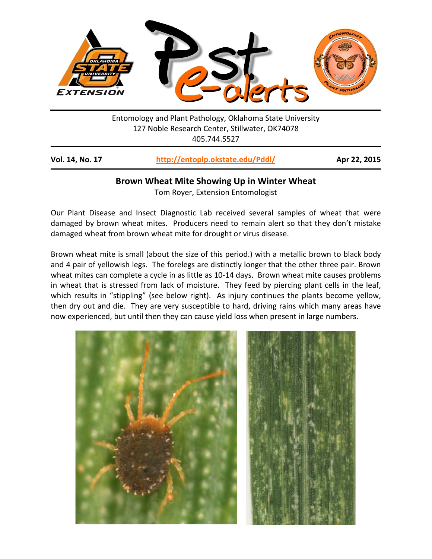

Entomology and Plant Pathology, Oklahoma State University 127 Noble Research Center, Stillwater, OK74078 405.744.5527

| Vol. 14, No. 17 | http://entoplp.okstate.edu/Pddl/ | Apr 22, 2015 |
|-----------------|----------------------------------|--------------|
|-----------------|----------------------------------|--------------|

### **Brown Wheat Mite Showing Up in Winter Wheat**

Tom Royer, Extension Entomologist

Our Plant Disease and Insect Diagnostic Lab received several samples of wheat that were damaged by brown wheat mites. Producers need to remain alert so that they don't mistake damaged wheat from brown wheat mite for drought or virus disease.

Brown wheat mite is small (about the size of this period.) with a metallic brown to black body and 4 pair of yellowish legs. The forelegs are distinctly longer that the other three pair. Brown wheat mites can complete a cycle in as little as 10-14 days. Brown wheat mite causes problems in wheat that is stressed from lack of moisture. They feed by piercing plant cells in the leaf, which results in "stippling" (see below right). As injury continues the plants become yellow, then dry out and die. They are very susceptible to hard, driving rains which many areas have now experienced, but until then they can cause yield loss when present in large numbers.

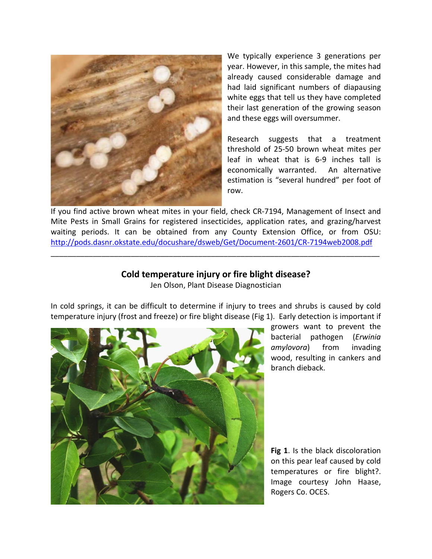

We typically experience 3 generations per year. However, in this sample, the mites had already caused considerable damage and had laid significant numbers of diapausing white eggs that tell us they have completed their last generation of the growing season and these eggs will oversummer.

Research suggests that a treatment threshold of 25-50 brown wheat mites per leaf in wheat that is 6-9 inches tall is economically warranted. An alternative estimation is "several hundred" per foot of row.

If you find active brown wheat mites in your field, check CR-7194, Management of Insect and Mite Pests in Small Grains for registered insecticides, application rates, and grazing/harvest waiting periods. It can be obtained from any County Extension Office, or from OSU: <http://pods.dasnr.okstate.edu/docushare/dsweb/Get/Document-2601/CR-7194web2008.pdf>

# **Cold temperature injury or fire blight disease?**

\_\_\_\_\_\_\_\_\_\_\_\_\_\_\_\_\_\_\_\_\_\_\_\_\_\_\_\_\_\_\_\_\_\_\_\_\_\_\_\_\_\_\_\_\_\_\_\_\_\_\_\_\_\_\_\_\_\_\_\_\_\_\_\_\_\_\_\_\_\_\_\_\_\_\_\_\_\_

Jen Olson, Plant Disease Diagnostician

In cold springs, it can be difficult to determine if injury to trees and shrubs is caused by cold temperature injury (frost and freeze) or fire blight disease (Fig 1). Early detection is important if



growers want to prevent the bacterial pathogen (*Erwinia amylovora*) from invading wood, resulting in cankers and branch dieback.

**Fig 1**. Is the black discoloration on this pear leaf caused by cold temperatures or fire blight?. Image courtesy John Haase, Rogers Co. OCES.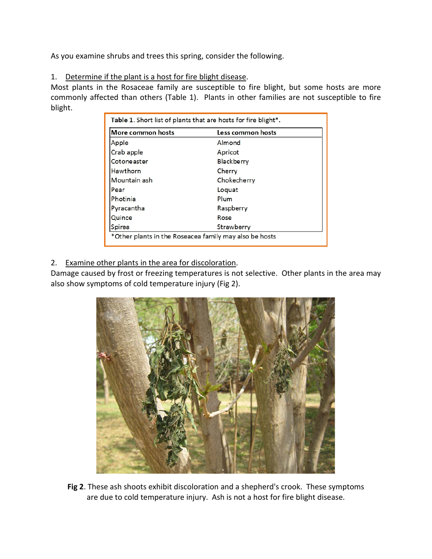As you examine shrubs and trees this spring, consider the following.

### 1. Determine if the plant is a host for fire blight disease.

Most plants in the Rosaceae family are susceptible to fire blight, but some hosts are more commonly affected than others (Table 1). Plants in other families are not susceptible to fire blight.

| More common hosts | Less common hosts |
|-------------------|-------------------|
| Apple             | Almond            |
| Crab apple        | Apricot           |
| Cotoneaster       | Blackberry        |
| Hawthorn          | Cherry            |
| Mountain ash      | Chokecherry       |
| Pear              | Loquat            |
| Photinia          | Plum              |
| Pyracantha        | Raspberry         |
| Quince            | Rose              |
| Spirea            | Strawberry        |

2. Examine other plants in the area for discoloration.

Damage caused by frost or freezing temperatures is not selective. Other plants in the area may also show symptoms of cold temperature injury (Fig 2).



**Fig 2**. These ash shoots exhibit discoloration and a shepherd's crook. These symptoms are due to cold temperature injury. Ash is not a host for fire blight disease.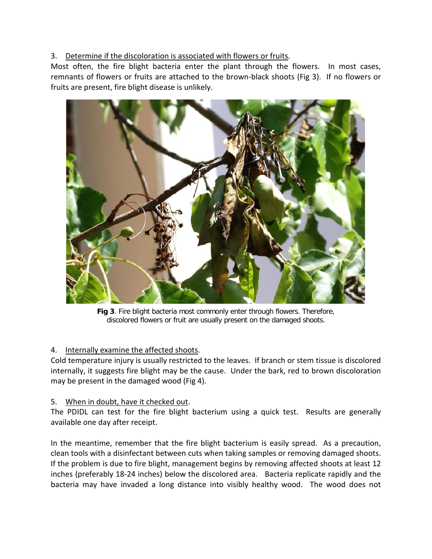# 3. Determine if the discoloration is associated with flowers or fruits.

Most often, the fire blight bacteria enter the plant through the flowers. In most cases, remnants of flowers or fruits are attached to the brown-black shoots (Fig 3). If no flowers or fruits are present, fire blight disease is unlikely.



**Fig 3**. Fire blight bacteria most commonly enter through flowers. Therefore, discolored flowers or fruit are usually present on the damaged shoots.

# 4. Internally examine the affected shoots.

Cold temperature injury is usually restricted to the leaves. If branch or stem tissue is discolored internally, it suggests fire blight may be the cause. Under the bark, red to brown discoloration may be present in the damaged wood (Fig 4).

## 5. When in doubt, have it checked out.

The PDIDL can test for the fire blight bacterium using a quick test. Results are generally available one day after receipt.

In the meantime, remember that the fire blight bacterium is easily spread. As a precaution, clean tools with a disinfectant between cuts when taking samples or removing damaged shoots. If the problem is due to fire blight, management begins by removing affected shoots at least 12 inches (preferably 18-24 inches) below the discolored area. Bacteria replicate rapidly and the bacteria may have invaded a long distance into visibly healthy wood. The wood does not